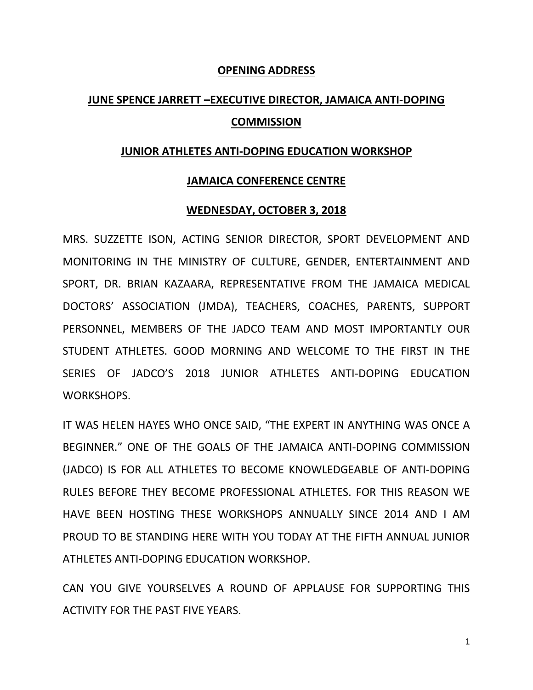## **OPENING ADDRESS**

# **JUNE SPENCE JARRETT –EXECUTIVE DIRECTOR, JAMAICA ANTI-DOPING COMMISSION**

#### **JUNIOR ATHLETES ANTI-DOPING EDUCATION WORKSHOP**

### **JAMAICA CONFERENCE CENTRE**

#### **WEDNESDAY, OCTOBER 3, 2018**

MRS. SUZZETTE ISON, ACTING SENIOR DIRECTOR, SPORT DEVELOPMENT AND MONITORING IN THE MINISTRY OF CULTURE, GENDER, ENTERTAINMENT AND SPORT, DR. BRIAN KAZAARA, REPRESENTATIVE FROM THE JAMAICA MEDICAL DOCTORS' ASSOCIATION (JMDA), TEACHERS, COACHES, PARENTS, SUPPORT PERSONNEL, MEMBERS OF THE JADCO TEAM AND MOST IMPORTANTLY OUR STUDENT ATHLETES. GOOD MORNING AND WELCOME TO THE FIRST IN THE SERIES OF JADCO'S 2018 JUNIOR ATHLETES ANTI-DOPING EDUCATION WORKSHOPS.

IT WAS HELEN HAYES WHO ONCE SAID, "THE EXPERT IN ANYTHING WAS ONCE A BEGINNER." ONE OF THE GOALS OF THE JAMAICA ANTI-DOPING COMMISSION (JADCO) IS FOR ALL ATHLETES TO BECOME KNOWLEDGEABLE OF ANTI-DOPING RULES BEFORE THEY BECOME PROFESSIONAL ATHLETES. FOR THIS REASON WE HAVE BEEN HOSTING THESE WORKSHOPS ANNUALLY SINCE 2014 AND I AM PROUD TO BE STANDING HERE WITH YOU TODAY AT THE FIFTH ANNUAL JUNIOR ATHLETES ANTI-DOPING EDUCATION WORKSHOP.

CAN YOU GIVE YOURSELVES A ROUND OF APPLAUSE FOR SUPPORTING THIS ACTIVITY FOR THE PAST FIVE YEARS.

1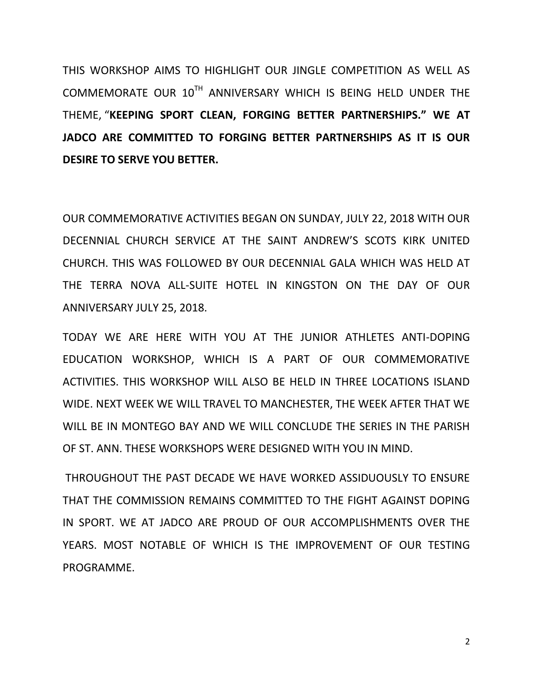THIS WORKSHOP AIMS TO HIGHLIGHT OUR JINGLE COMPETITION AS WELL AS COMMEMORATE OUR 10TH ANNIVERSARY WHICH IS BEING HELD UNDER THE THEME, "**KEEPING SPORT CLEAN, FORGING BETTER PARTNERSHIPS." WE AT JADCO ARE COMMITTED TO FORGING BETTER PARTNERSHIPS AS IT IS OUR DESIRE TO SERVE YOU BETTER.** 

OUR COMMEMORATIVE ACTIVITIES BEGAN ON SUNDAY, JULY 22, 2018 WITH OUR DECENNIAL CHURCH SERVICE AT THE SAINT ANDREW'S SCOTS KIRK UNITED CHURCH. THIS WAS FOLLOWED BY OUR DECENNIAL GALA WHICH WAS HELD AT THE TERRA NOVA ALL-SUITE HOTEL IN KINGSTON ON THE DAY OF OUR ANNIVERSARY JULY 25, 2018.

TODAY WE ARE HERE WITH YOU AT THE JUNIOR ATHLETES ANTI-DOPING EDUCATION WORKSHOP, WHICH IS A PART OF OUR COMMEMORATIVE ACTIVITIES. THIS WORKSHOP WILL ALSO BE HELD IN THREE LOCATIONS ISLAND WIDE. NEXT WEEK WE WILL TRAVEL TO MANCHESTER, THE WEEK AFTER THAT WE WILL BE IN MONTEGO BAY AND WE WILL CONCLUDE THE SERIES IN THE PARISH OF ST. ANN. THESE WORKSHOPS WERE DESIGNED WITH YOU IN MIND.

THROUGHOUT THE PAST DECADE WE HAVE WORKED ASSIDUOUSLY TO ENSURE THAT THE COMMISSION REMAINS COMMITTED TO THE FIGHT AGAINST DOPING IN SPORT. WE AT JADCO ARE PROUD OF OUR ACCOMPLISHMENTS OVER THE YEARS. MOST NOTABLE OF WHICH IS THE IMPROVEMENT OF OUR TESTING PROGRAMME.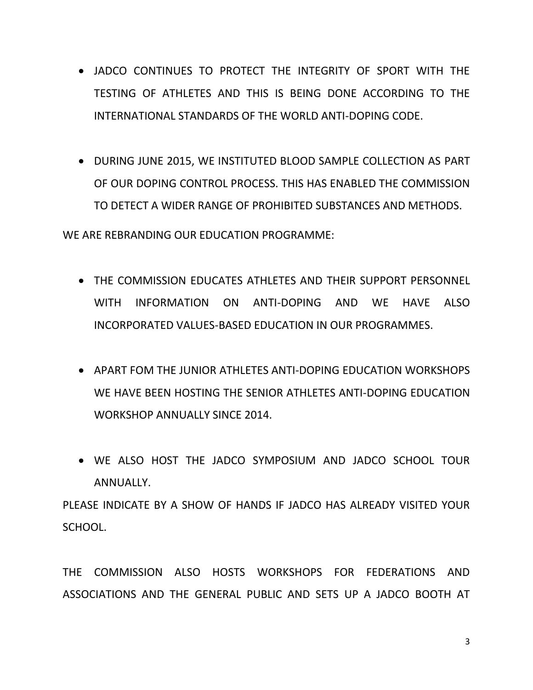- JADCO CONTINUES TO PROTECT THE INTEGRITY OF SPORT WITH THE TESTING OF ATHLETES AND THIS IS BEING DONE ACCORDING TO THE INTERNATIONAL STANDARDS OF THE WORLD ANTI-DOPING CODE.
- DURING JUNE 2015, WE INSTITUTED BLOOD SAMPLE COLLECTION AS PART OF OUR DOPING CONTROL PROCESS. THIS HAS ENABLED THE COMMISSION TO DETECT A WIDER RANGE OF PROHIBITED SUBSTANCES AND METHODS.

WE ARE REBRANDING OUR EDUCATION PROGRAMME:

- THE COMMISSION EDUCATES ATHLETES AND THEIR SUPPORT PERSONNEL WITH INFORMATION ON ANTI-DOPING AND WE HAVE ALSO INCORPORATED VALUES-BASED EDUCATION IN OUR PROGRAMMES.
- APART FOM THE JUNIOR ATHLETES ANTI-DOPING EDUCATION WORKSHOPS WE HAVE BEEN HOSTING THE SENIOR ATHLETES ANTI-DOPING EDUCATION WORKSHOP ANNUALLY SINCE 2014.
- WE ALSO HOST THE JADCO SYMPOSIUM AND JADCO SCHOOL TOUR ANNUALLY.

PLEASE INDICATE BY A SHOW OF HANDS IF JADCO HAS ALREADY VISITED YOUR SCHOOL.

THE COMMISSION ALSO HOSTS WORKSHOPS FOR FEDERATIONS AND ASSOCIATIONS AND THE GENERAL PUBLIC AND SETS UP A JADCO BOOTH AT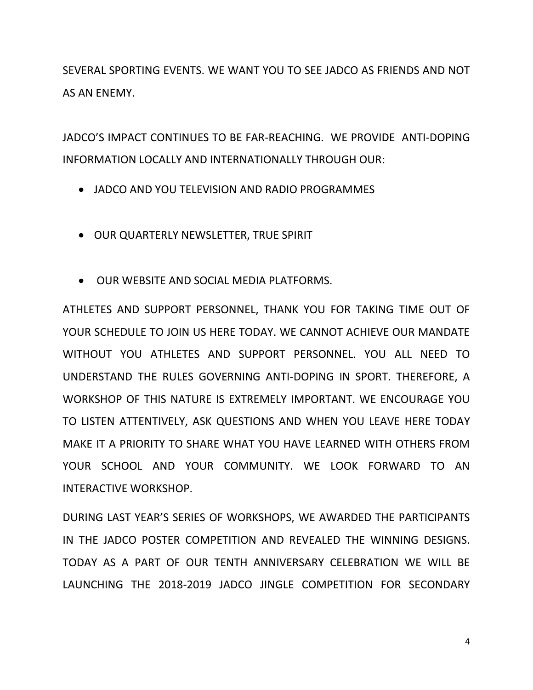SEVERAL SPORTING EVENTS. WE WANT YOU TO SEE JADCO AS FRIENDS AND NOT AS AN ENEMY.

JADCO'S IMPACT CONTINUES TO BE FAR-REACHING. WE PROVIDE ANTI-DOPING INFORMATION LOCALLY AND INTERNATIONALLY THROUGH OUR:

- JADCO AND YOU TELEVISION AND RADIO PROGRAMMES
- OUR QUARTERLY NEWSLETTER, TRUE SPIRIT
- OUR WEBSITE AND SOCIAL MEDIA PLATFORMS.

ATHLETES AND SUPPORT PERSONNEL, THANK YOU FOR TAKING TIME OUT OF YOUR SCHEDULE TO JOIN US HERE TODAY. WE CANNOT ACHIEVE OUR MANDATE WITHOUT YOU ATHLETES AND SUPPORT PERSONNEL. YOU ALL NEED TO UNDERSTAND THE RULES GOVERNING ANTI-DOPING IN SPORT. THEREFORE, A WORKSHOP OF THIS NATURE IS EXTREMELY IMPORTANT. WE ENCOURAGE YOU TO LISTEN ATTENTIVELY, ASK QUESTIONS AND WHEN YOU LEAVE HERE TODAY MAKE IT A PRIORITY TO SHARE WHAT YOU HAVE LEARNED WITH OTHERS FROM YOUR SCHOOL AND YOUR COMMUNITY. WE LOOK FORWARD TO AN INTERACTIVE WORKSHOP.

DURING LAST YEAR'S SERIES OF WORKSHOPS, WE AWARDED THE PARTICIPANTS IN THE JADCO POSTER COMPETITION AND REVEALED THE WINNING DESIGNS. TODAY AS A PART OF OUR TENTH ANNIVERSARY CELEBRATION WE WILL BE LAUNCHING THE 2018-2019 JADCO JINGLE COMPETITION FOR SECONDARY

4